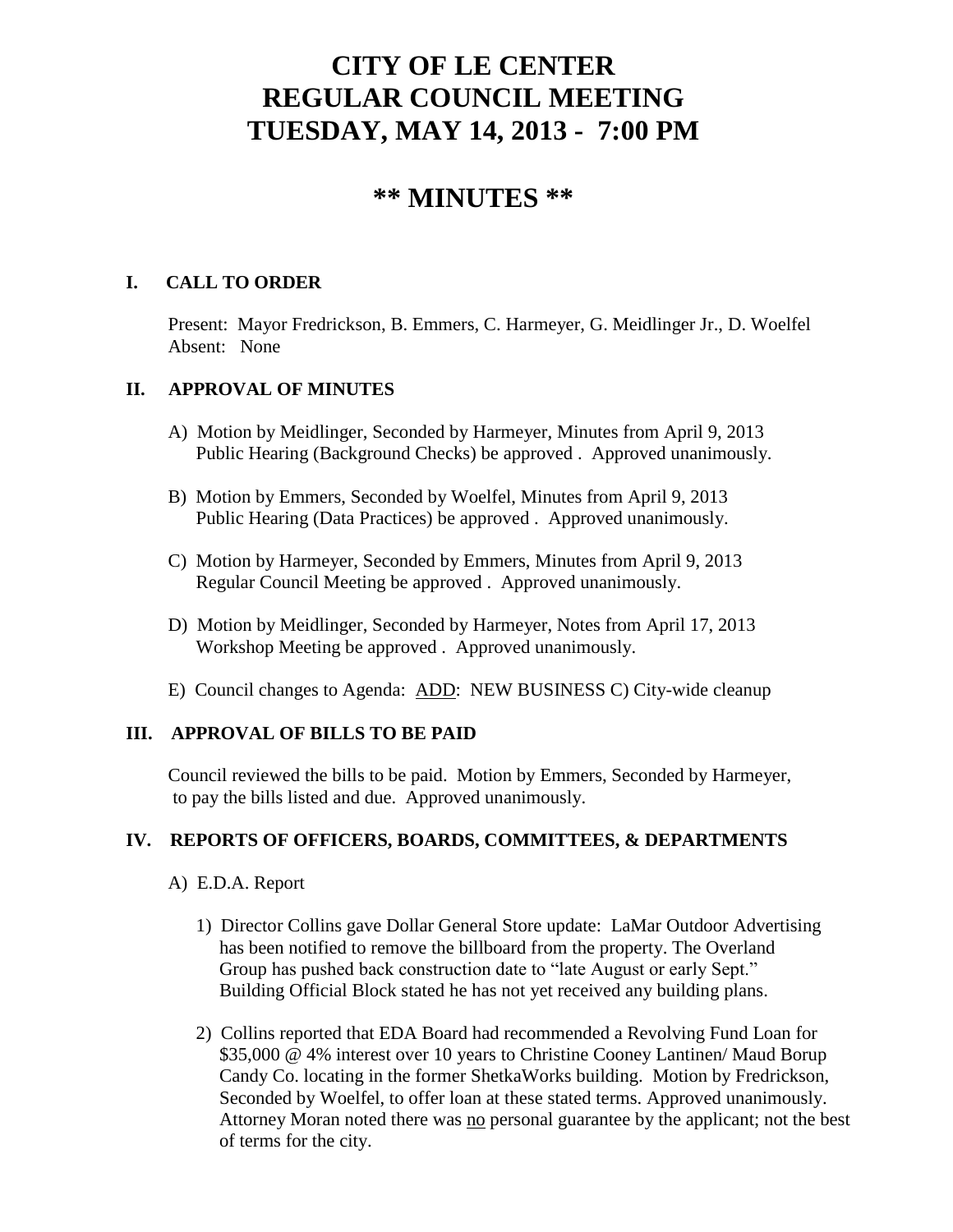# **CITY OF LE CENTER REGULAR COUNCIL MEETING TUESDAY, MAY 14, 2013 - 7:00 PM**

# **\*\* MINUTES \*\***

# **I. CALL TO ORDER**

Present: Mayor Fredrickson, B. Emmers, C. Harmeyer, G. Meidlinger Jr., D. Woelfel Absent: None

# **II. APPROVAL OF MINUTES**

- A) Motion by Meidlinger, Seconded by Harmeyer, Minutes from April 9, 2013 Public Hearing (Background Checks) be approved . Approved unanimously.
- B) Motion by Emmers, Seconded by Woelfel, Minutes from April 9, 2013 Public Hearing (Data Practices) be approved . Approved unanimously.
- C) Motion by Harmeyer, Seconded by Emmers, Minutes from April 9, 2013 Regular Council Meeting be approved . Approved unanimously.
- D) Motion by Meidlinger, Seconded by Harmeyer, Notes from April 17, 2013 Workshop Meeting be approved . Approved unanimously.
- E) Council changes to Agenda: ADD: NEW BUSINESS C) City-wide cleanup

# **III. APPROVAL OF BILLS TO BE PAID**

Council reviewed the bills to be paid. Motion by Emmers, Seconded by Harmeyer, to pay the bills listed and due. Approved unanimously.

#### **IV. REPORTS OF OFFICERS, BOARDS, COMMITTEES, & DEPARTMENTS**

- A) E.D.A. Report
	- 1) Director Collins gave Dollar General Store update: LaMar Outdoor Advertising has been notified to remove the billboard from the property. The Overland Group has pushed back construction date to "late August or early Sept." Building Official Block stated he has not yet received any building plans.
	- 2) Collins reported that EDA Board had recommended a Revolving Fund Loan for \$35,000 @ 4% interest over 10 years to Christine Cooney Lantinen/ Maud Borup Candy Co. locating in the former ShetkaWorks building. Motion by Fredrickson, Seconded by Woelfel, to offer loan at these stated terms. Approved unanimously. Attorney Moran noted there was no personal guarantee by the applicant; not the best of terms for the city.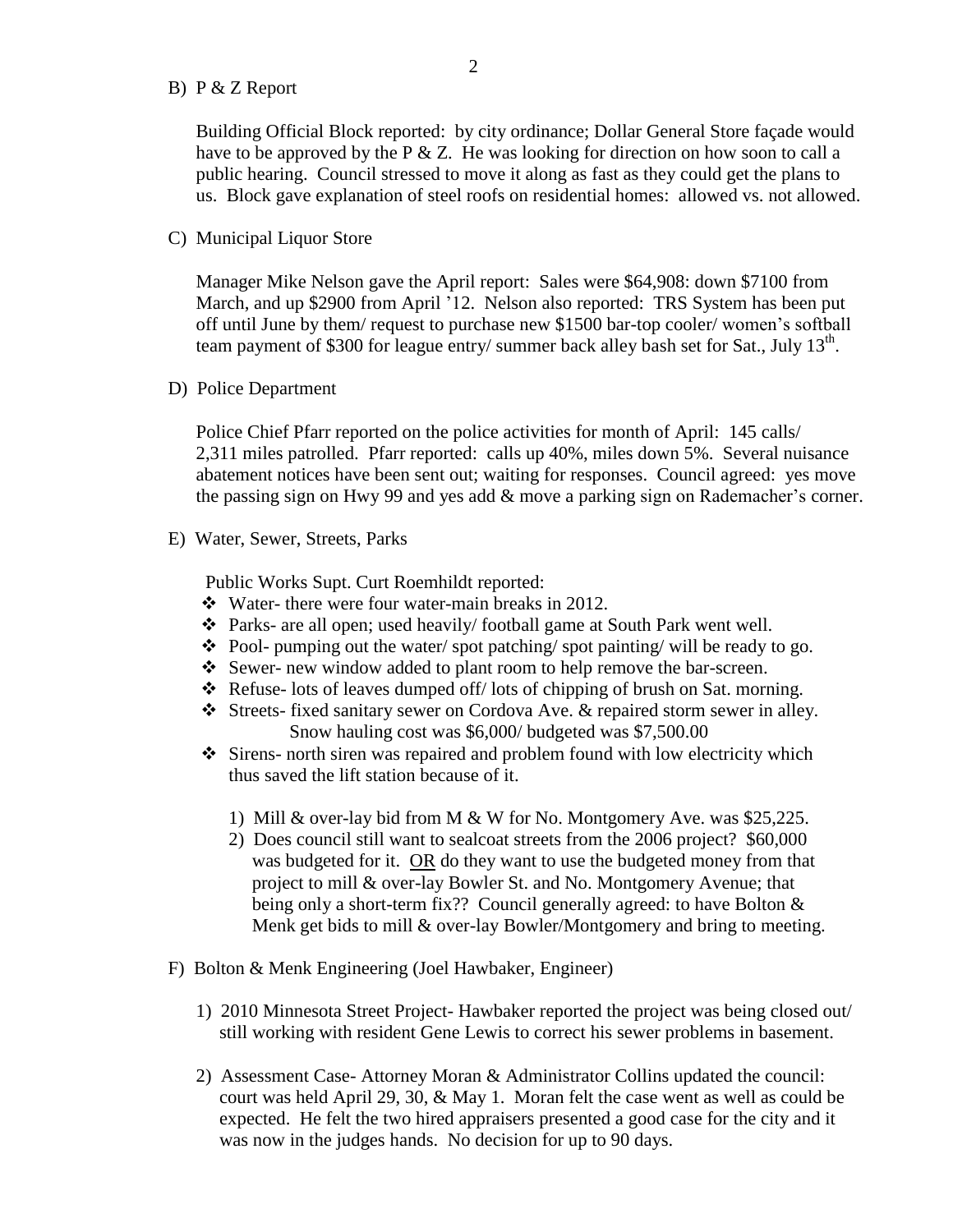#### B) P & Z Report

 Building Official Block reported: by city ordinance; Dollar General Store façade would have to be approved by the P  $&\&$  Z. He was looking for direction on how soon to call a public hearing. Council stressed to move it along as fast as they could get the plans to us. Block gave explanation of steel roofs on residential homes: allowed vs. not allowed.

C) Municipal Liquor Store

Manager Mike Nelson gave the April report: Sales were \$64,908: down \$7100 from March, and up \$2900 from April '12. Nelson also reported: TRS System has been put off until June by them/ request to purchase new \$1500 bar-top cooler/ women's softball team payment of \$300 for league entry/ summer back alley bash set for Sat., July 13<sup>th</sup>.

D) Police Department

Police Chief Pfarr reported on the police activities for month of April: 145 calls/ 2,311 miles patrolled. Pfarr reported: calls up 40%, miles down 5%. Several nuisance abatement notices have been sent out; waiting for responses. Council agreed: yes move the passing sign on Hwy 99 and yes add & move a parking sign on Rademacher's corner.

E) Water, Sewer, Streets, Parks

Public Works Supt. Curt Roemhildt reported:

- Water- there were four water-main breaks in 2012.
- Parks- are all open; used heavily/ football game at South Park went well.
- $\bullet$  Pool- pumping out the water/spot patching/spot painting/ will be ready to go.
- Sewer- new window added to plant room to help remove the bar-screen.
- Refuse- lots of leaves dumped of  $f$  lots of chipping of brush on Sat. morning.
- Streets- fixed sanitary sewer on Cordova Ave. & repaired storm sewer in alley. Snow hauling cost was \$6,000/ budgeted was \$7,500.00
- $\div$  Sirens- north siren was repaired and problem found with low electricity which thus saved the lift station because of it.
	- 1) Mill & over-lay bid from M & W for No. Montgomery Ave. was \$25,225.
	- 2) Does council still want to sealcoat streets from the 2006 project? \$60,000 was budgeted for it. OR do they want to use the budgeted money from that project to mill & over-lay Bowler St. and No. Montgomery Avenue; that being only a short-term fix?? Council generally agreed: to have Bolton & Menk get bids to mill  $\&$  over-lay Bowler/Montgomery and bring to meeting.
- F) Bolton & Menk Engineering (Joel Hawbaker, Engineer)
	- 1) 2010 Minnesota Street Project- Hawbaker reported the project was being closed out/ still working with resident Gene Lewis to correct his sewer problems in basement.
	- 2) Assessment Case- Attorney Moran & Administrator Collins updated the council: court was held April 29, 30, & May 1. Moran felt the case went as well as could be expected. He felt the two hired appraisers presented a good case for the city and it was now in the judges hands. No decision for up to 90 days.